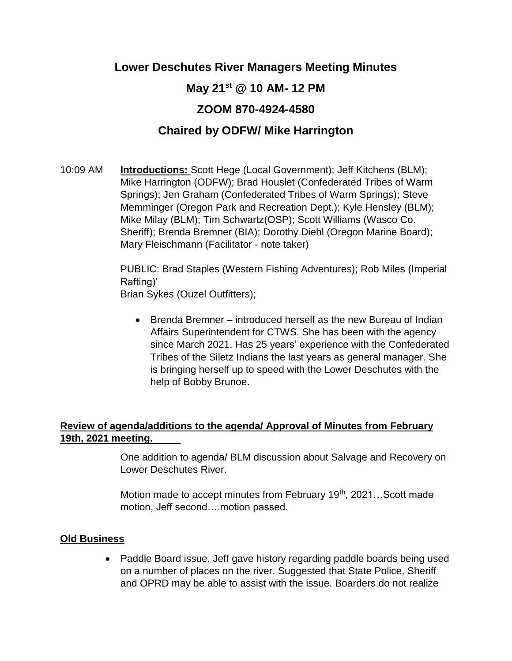## **Lower Deschutes River Managers Meeting Minutes**

# **May 21st @ 10 AM- 12 PM**

# **ZOOM 870-4924-4580**

## **Chaired by ODFW/ Mike Harrington**

10:09 AM **Introductions:** Scott Hege (Local Government); Jeff Kitchens (BLM); Mike Harrington (ODFW); Brad Houslet (Confederated Tribes of Warm Springs); Jen Graham (Confederated Tribes of Warm Springs); Steve Memminger (Oregon Park and Recreation Dept.); Kyle Hensley (BLM); Mike Milay (BLM); Tim Schwartz(OSP); Scott Williams (Wasco Co. Sheriff); Brenda Bremner (BIA); Dorothy Diehl (Oregon Marine Board); Mary Fleischmann (Facilitator - note taker)

> PUBLIC: Brad Staples (Western Fishing Adventures); Rob Miles (Imperial Rafting)'

Brian Sykes (Ouzel Outfitters);

• Brenda Bremner – introduced herself as the new Bureau of Indian Affairs Superintendent for CTWS. She has been with the agency since March 2021. Has 25 years' experience with the Confederated Tribes of the Siletz Indians the last years as general manager. She is bringing herself up to speed with the Lower Deschutes with the help of Bobby Brunoe.

## **Review of agenda/additions to the agenda/ Approval of Minutes from February 19th, 2021 meeting.**

One addition to agenda/ BLM discussion about Salvage and Recovery on Lower Deschutes River.

Motion made to accept minutes from February  $19<sup>th</sup>$ , 2021...Scott made motion, Jeff second….motion passed.

### **Old Business**

• Paddle Board issue. Jeff gave history regarding paddle boards being used on a number of places on the river. Suggested that State Police, Sheriff and OPRD may be able to assist with the issue. Boarders do not realize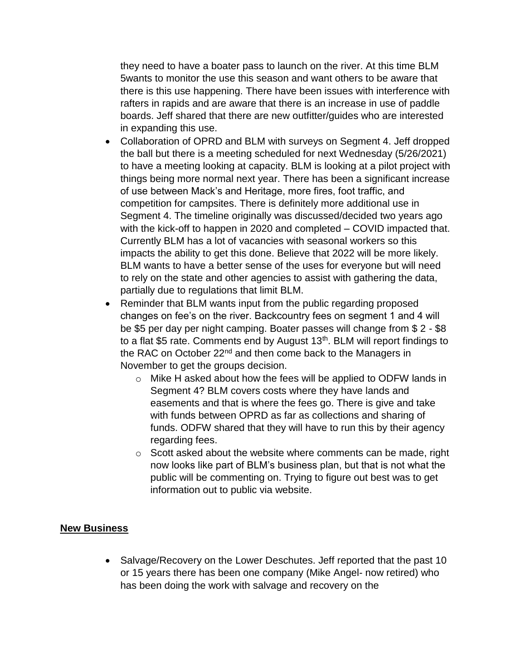they need to have a boater pass to launch on the river. At this time BLM 5wants to monitor the use this season and want others to be aware that there is this use happening. There have been issues with interference with rafters in rapids and are aware that there is an increase in use of paddle boards. Jeff shared that there are new outfitter/guides who are interested in expanding this use.

- Collaboration of OPRD and BLM with surveys on Segment 4. Jeff dropped the ball but there is a meeting scheduled for next Wednesday (5/26/2021) to have a meeting looking at capacity. BLM is looking at a pilot project with things being more normal next year. There has been a significant increase of use between Mack's and Heritage, more fires, foot traffic, and competition for campsites. There is definitely more additional use in Segment 4. The timeline originally was discussed/decided two years ago with the kick-off to happen in 2020 and completed – COVID impacted that. Currently BLM has a lot of vacancies with seasonal workers so this impacts the ability to get this done. Believe that 2022 will be more likely. BLM wants to have a better sense of the uses for everyone but will need to rely on the state and other agencies to assist with gathering the data, partially due to regulations that limit BLM.
- Reminder that BLM wants input from the public regarding proposed changes on fee's on the river. Backcountry fees on segment 1 and 4 will be \$5 per day per night camping. Boater passes will change from \$ 2 - \$8 to a flat \$5 rate. Comments end by August  $13<sup>th</sup>$ . BLM will report findings to the RAC on October 22<sup>nd</sup> and then come back to the Managers in November to get the groups decision.
	- o Mike H asked about how the fees will be applied to ODFW lands in Segment 4? BLM covers costs where they have lands and easements and that is where the fees go. There is give and take with funds between OPRD as far as collections and sharing of funds. ODFW shared that they will have to run this by their agency regarding fees.
	- $\circ$  Scott asked about the website where comments can be made, right now looks like part of BLM's business plan, but that is not what the public will be commenting on. Trying to figure out best was to get information out to public via website.

#### **New Business**

• Salvage/Recovery on the Lower Deschutes. Jeff reported that the past 10 or 15 years there has been one company (Mike Angel- now retired) who has been doing the work with salvage and recovery on the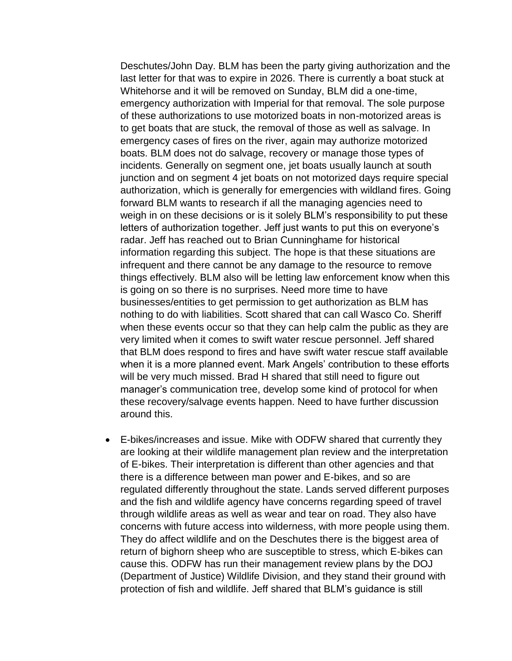Deschutes/John Day. BLM has been the party giving authorization and the last letter for that was to expire in 2026. There is currently a boat stuck at Whitehorse and it will be removed on Sunday, BLM did a one-time, emergency authorization with Imperial for that removal. The sole purpose of these authorizations to use motorized boats in non-motorized areas is to get boats that are stuck, the removal of those as well as salvage. In emergency cases of fires on the river, again may authorize motorized boats. BLM does not do salvage, recovery or manage those types of incidents. Generally on segment one, jet boats usually launch at south junction and on segment 4 jet boats on not motorized days require special authorization, which is generally for emergencies with wildland fires. Going forward BLM wants to research if all the managing agencies need to weigh in on these decisions or is it solely BLM's responsibility to put these letters of authorization together. Jeff just wants to put this on everyone's radar. Jeff has reached out to Brian Cunninghame for historical information regarding this subject. The hope is that these situations are infrequent and there cannot be any damage to the resource to remove things effectively. BLM also will be letting law enforcement know when this is going on so there is no surprises. Need more time to have businesses/entities to get permission to get authorization as BLM has nothing to do with liabilities. Scott shared that can call Wasco Co. Sheriff when these events occur so that they can help calm the public as they are very limited when it comes to swift water rescue personnel. Jeff shared that BLM does respond to fires and have swift water rescue staff available when it is a more planned event. Mark Angels' contribution to these efforts will be very much missed. Brad H shared that still need to figure out manager's communication tree, develop some kind of protocol for when these recovery/salvage events happen. Need to have further discussion around this.

• E-bikes/increases and issue. Mike with ODFW shared that currently they are looking at their wildlife management plan review and the interpretation of E-bikes. Their interpretation is different than other agencies and that there is a difference between man power and E-bikes, and so are regulated differently throughout the state. Lands served different purposes and the fish and wildlife agency have concerns regarding speed of travel through wildlife areas as well as wear and tear on road. They also have concerns with future access into wilderness, with more people using them. They do affect wildlife and on the Deschutes there is the biggest area of return of bighorn sheep who are susceptible to stress, which E-bikes can cause this. ODFW has run their management review plans by the DOJ (Department of Justice) Wildlife Division, and they stand their ground with protection of fish and wildlife. Jeff shared that BLM's guidance is still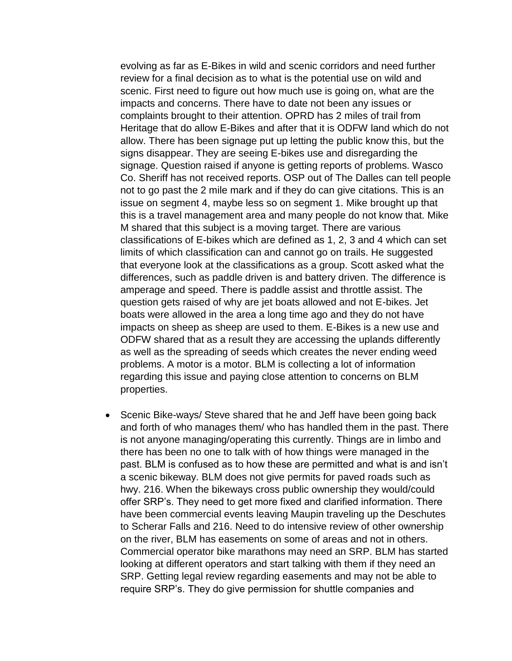evolving as far as E-Bikes in wild and scenic corridors and need further review for a final decision as to what is the potential use on wild and scenic. First need to figure out how much use is going on, what are the impacts and concerns. There have to date not been any issues or complaints brought to their attention. OPRD has 2 miles of trail from Heritage that do allow E-Bikes and after that it is ODFW land which do not allow. There has been signage put up letting the public know this, but the signs disappear. They are seeing E-bikes use and disregarding the signage. Question raised if anyone is getting reports of problems. Wasco Co. Sheriff has not received reports. OSP out of The Dalles can tell people not to go past the 2 mile mark and if they do can give citations. This is an issue on segment 4, maybe less so on segment 1. Mike brought up that this is a travel management area and many people do not know that. Mike M shared that this subject is a moving target. There are various classifications of E-bikes which are defined as 1, 2, 3 and 4 which can set limits of which classification can and cannot go on trails. He suggested that everyone look at the classifications as a group. Scott asked what the differences, such as paddle driven is and battery driven. The difference is amperage and speed. There is paddle assist and throttle assist. The question gets raised of why are jet boats allowed and not E-bikes. Jet boats were allowed in the area a long time ago and they do not have impacts on sheep as sheep are used to them. E-Bikes is a new use and ODFW shared that as a result they are accessing the uplands differently as well as the spreading of seeds which creates the never ending weed problems. A motor is a motor. BLM is collecting a lot of information regarding this issue and paying close attention to concerns on BLM properties.

• Scenic Bike-ways/ Steve shared that he and Jeff have been going back and forth of who manages them/ who has handled them in the past. There is not anyone managing/operating this currently. Things are in limbo and there has been no one to talk with of how things were managed in the past. BLM is confused as to how these are permitted and what is and isn't a scenic bikeway. BLM does not give permits for paved roads such as hwy. 216. When the bikeways cross public ownership they would/could offer SRP's. They need to get more fixed and clarified information. There have been commercial events leaving Maupin traveling up the Deschutes to Scherar Falls and 216. Need to do intensive review of other ownership on the river, BLM has easements on some of areas and not in others. Commercial operator bike marathons may need an SRP. BLM has started looking at different operators and start talking with them if they need an SRP. Getting legal review regarding easements and may not be able to require SRP's. They do give permission for shuttle companies and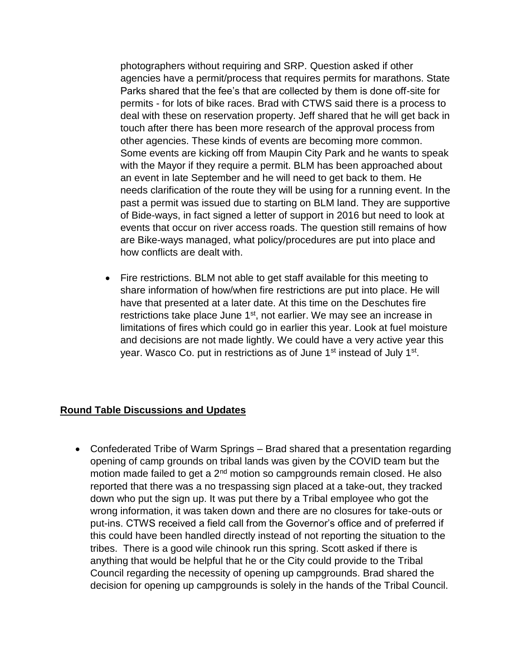photographers without requiring and SRP. Question asked if other agencies have a permit/process that requires permits for marathons. State Parks shared that the fee's that are collected by them is done off-site for permits - for lots of bike races. Brad with CTWS said there is a process to deal with these on reservation property. Jeff shared that he will get back in touch after there has been more research of the approval process from other agencies. These kinds of events are becoming more common. Some events are kicking off from Maupin City Park and he wants to speak with the Mayor if they require a permit. BLM has been approached about an event in late September and he will need to get back to them. He needs clarification of the route they will be using for a running event. In the past a permit was issued due to starting on BLM land. They are supportive of Bide-ways, in fact signed a letter of support in 2016 but need to look at events that occur on river access roads. The question still remains of how are Bike-ways managed, what policy/procedures are put into place and how conflicts are dealt with.

• Fire restrictions. BLM not able to get staff available for this meeting to share information of how/when fire restrictions are put into place. He will have that presented at a later date. At this time on the Deschutes fire restrictions take place June 1<sup>st</sup>, not earlier. We may see an increase in limitations of fires which could go in earlier this year. Look at fuel moisture and decisions are not made lightly. We could have a very active year this year. Wasco Co. put in restrictions as of June 1<sup>st</sup> instead of July 1<sup>st</sup>.

### **Round Table Discussions and Updates**

• Confederated Tribe of Warm Springs – Brad shared that a presentation regarding opening of camp grounds on tribal lands was given by the COVID team but the motion made failed to get a 2<sup>nd</sup> motion so campgrounds remain closed. He also reported that there was a no trespassing sign placed at a take-out, they tracked down who put the sign up. It was put there by a Tribal employee who got the wrong information, it was taken down and there are no closures for take-outs or put-ins. CTWS received a field call from the Governor's office and of preferred if this could have been handled directly instead of not reporting the situation to the tribes. There is a good wile chinook run this spring. Scott asked if there is anything that would be helpful that he or the City could provide to the Tribal Council regarding the necessity of opening up campgrounds. Brad shared the decision for opening up campgrounds is solely in the hands of the Tribal Council.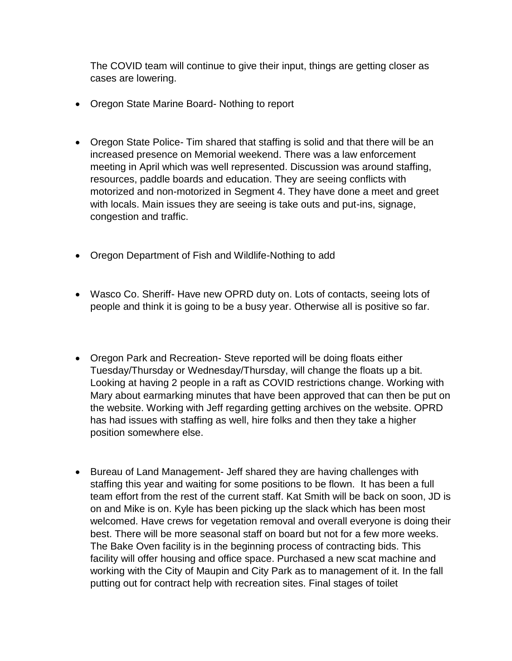The COVID team will continue to give their input, things are getting closer as cases are lowering.

- Oregon State Marine Board- Nothing to report
- Oregon State Police- Tim shared that staffing is solid and that there will be an increased presence on Memorial weekend. There was a law enforcement meeting in April which was well represented. Discussion was around staffing, resources, paddle boards and education. They are seeing conflicts with motorized and non-motorized in Segment 4. They have done a meet and greet with locals. Main issues they are seeing is take outs and put-ins, signage, congestion and traffic.
- Oregon Department of Fish and Wildlife-Nothing to add
- Wasco Co. Sheriff- Have new OPRD duty on. Lots of contacts, seeing lots of people and think it is going to be a busy year. Otherwise all is positive so far.
- Oregon Park and Recreation- Steve reported will be doing floats either Tuesday/Thursday or Wednesday/Thursday, will change the floats up a bit. Looking at having 2 people in a raft as COVID restrictions change. Working with Mary about earmarking minutes that have been approved that can then be put on the website. Working with Jeff regarding getting archives on the website. OPRD has had issues with staffing as well, hire folks and then they take a higher position somewhere else.
- Bureau of Land Management- Jeff shared they are having challenges with staffing this year and waiting for some positions to be flown. It has been a full team effort from the rest of the current staff. Kat Smith will be back on soon, JD is on and Mike is on. Kyle has been picking up the slack which has been most welcomed. Have crews for vegetation removal and overall everyone is doing their best. There will be more seasonal staff on board but not for a few more weeks. The Bake Oven facility is in the beginning process of contracting bids. This facility will offer housing and office space. Purchased a new scat machine and working with the City of Maupin and City Park as to management of it. In the fall putting out for contract help with recreation sites. Final stages of toilet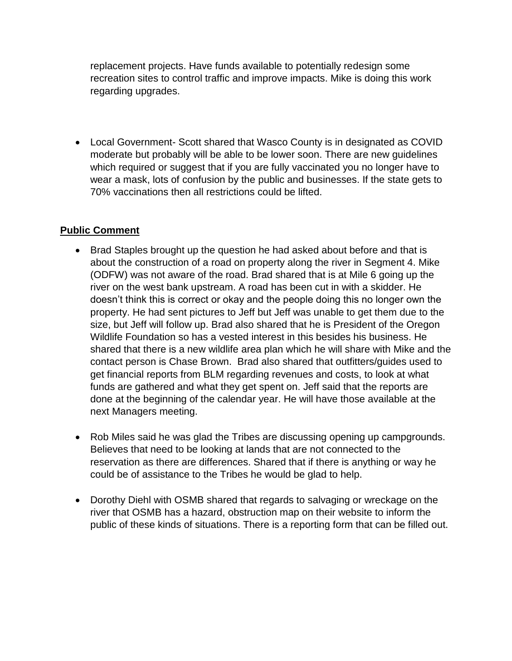replacement projects. Have funds available to potentially redesign some recreation sites to control traffic and improve impacts. Mike is doing this work regarding upgrades.

• Local Government- Scott shared that Wasco County is in designated as COVID moderate but probably will be able to be lower soon. There are new guidelines which required or suggest that if you are fully vaccinated you no longer have to wear a mask, lots of confusion by the public and businesses. If the state gets to 70% vaccinations then all restrictions could be lifted.

#### **Public Comment**

- Brad Staples brought up the question he had asked about before and that is about the construction of a road on property along the river in Segment 4. Mike (ODFW) was not aware of the road. Brad shared that is at Mile 6 going up the river on the west bank upstream. A road has been cut in with a skidder. He doesn't think this is correct or okay and the people doing this no longer own the property. He had sent pictures to Jeff but Jeff was unable to get them due to the size, but Jeff will follow up. Brad also shared that he is President of the Oregon Wildlife Foundation so has a vested interest in this besides his business. He shared that there is a new wildlife area plan which he will share with Mike and the contact person is Chase Brown. Brad also shared that outfitters/guides used to get financial reports from BLM regarding revenues and costs, to look at what funds are gathered and what they get spent on. Jeff said that the reports are done at the beginning of the calendar year. He will have those available at the next Managers meeting.
- Rob Miles said he was glad the Tribes are discussing opening up campgrounds. Believes that need to be looking at lands that are not connected to the reservation as there are differences. Shared that if there is anything or way he could be of assistance to the Tribes he would be glad to help.
- Dorothy Diehl with OSMB shared that regards to salvaging or wreckage on the river that OSMB has a hazard, obstruction map on their website to inform the public of these kinds of situations. There is a reporting form that can be filled out.